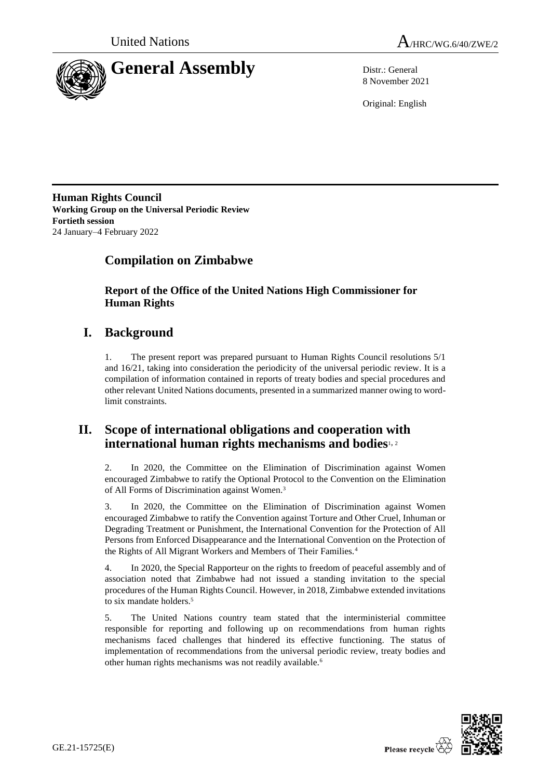



8 November 2021

Original: English

**Human Rights Council Working Group on the Universal Periodic Review Fortieth session** 24 January–4 February 2022

# **Compilation on Zimbabwe**

**Report of the Office of the United Nations High Commissioner for Human Rights**

# **I. Background**

1. The present report was prepared pursuant to Human Rights Council resolutions 5/1 and 16/21, taking into consideration the periodicity of the universal periodic review. It is a compilation of information contained in reports of treaty bodies and special procedures and other relevant United Nations documents, presented in a summarized manner owing to wordlimit constraints.

# **II. Scope of international obligations and cooperation with international human rights mechanisms and bodies**1, <sup>2</sup>

2. In 2020, the Committee on the Elimination of Discrimination against Women encouraged Zimbabwe to ratify the Optional Protocol to the Convention on the Elimination of All Forms of Discrimination against Women.<sup>3</sup>

3. In 2020, the Committee on the Elimination of Discrimination against Women encouraged Zimbabwe to ratify the Convention against Torture and Other Cruel, Inhuman or Degrading Treatment or Punishment, the International Convention for the Protection of All Persons from Enforced Disappearance and the International Convention on the Protection of the Rights of All Migrant Workers and Members of Their Families.<sup>4</sup>

4. In 2020, the Special Rapporteur on the rights to freedom of peaceful assembly and of association noted that Zimbabwe had not issued a standing invitation to the special procedures of the Human Rights Council. However, in 2018, Zimbabwe extended invitations to six mandate holders.<sup>5</sup>

5. The United Nations country team stated that the interministerial committee responsible for reporting and following up on recommendations from human rights mechanisms faced challenges that hindered its effective functioning. The status of implementation of recommendations from the universal periodic review, treaty bodies and other human rights mechanisms was not readily available.<sup>6</sup>

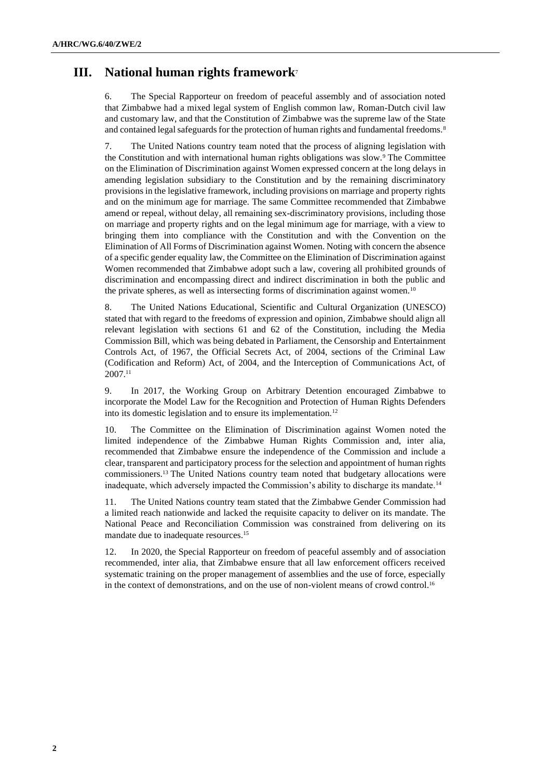# **III. National human rights framework**<sup>7</sup>

6. The Special Rapporteur on freedom of peaceful assembly and of association noted that Zimbabwe had a mixed legal system of English common law, Roman-Dutch civil law and customary law, and that the Constitution of Zimbabwe was the supreme law of the State and contained legal safeguards for the protection of human rights and fundamental freedoms.<sup>8</sup>

7. The United Nations country team noted that the process of aligning legislation with the Constitution and with international human rights obligations was slow.<sup>9</sup> The Committee on the Elimination of Discrimination against Women expressed concern at the long delays in amending legislation subsidiary to the Constitution and by the remaining discriminatory provisions in the legislative framework, including provisions on marriage and property rights and on the minimum age for marriage. The same Committee recommended that Zimbabwe amend or repeal, without delay, all remaining sex-discriminatory provisions, including those on marriage and property rights and on the legal minimum age for marriage, with a view to bringing them into compliance with the Constitution and with the Convention on the Elimination of All Forms of Discrimination against Women. Noting with concern the absence of a specific gender equality law, the Committee on the Elimination of Discrimination against Women recommended that Zimbabwe adopt such a law, covering all prohibited grounds of discrimination and encompassing direct and indirect discrimination in both the public and the private spheres, as well as intersecting forms of discrimination against women.<sup>10</sup>

8. The United Nations Educational, Scientific and Cultural Organization (UNESCO) stated that with regard to the freedoms of expression and opinion, Zimbabwe should align all relevant legislation with sections 61 and 62 of the Constitution, including the Media Commission Bill, which was being debated in Parliament, the Censorship and Entertainment Controls Act, of 1967, the Official Secrets Act, of 2004, sections of the Criminal Law (Codification and Reform) Act, of 2004, and the Interception of Communications Act, of 2007.<sup>11</sup>

9. In 2017, the Working Group on Arbitrary Detention encouraged Zimbabwe to incorporate the Model Law for the Recognition and Protection of Human Rights Defenders into its domestic legislation and to ensure its implementation.<sup>12</sup>

10. The Committee on the Elimination of Discrimination against Women noted the limited independence of the Zimbabwe Human Rights Commission and, inter alia, recommended that Zimbabwe ensure the independence of the Commission and include a clear, transparent and participatory process for the selection and appointment of human rights commissioners.<sup>13</sup> The United Nations country team noted that budgetary allocations were inadequate, which adversely impacted the Commission's ability to discharge its mandate.<sup>14</sup>

11. The United Nations country team stated that the Zimbabwe Gender Commission had a limited reach nationwide and lacked the requisite capacity to deliver on its mandate. The National Peace and Reconciliation Commission was constrained from delivering on its mandate due to inadequate resources.<sup>15</sup>

12. In 2020, the Special Rapporteur on freedom of peaceful assembly and of association recommended, inter alia, that Zimbabwe ensure that all law enforcement officers received systematic training on the proper management of assemblies and the use of force, especially in the context of demonstrations, and on the use of non-violent means of crowd control.16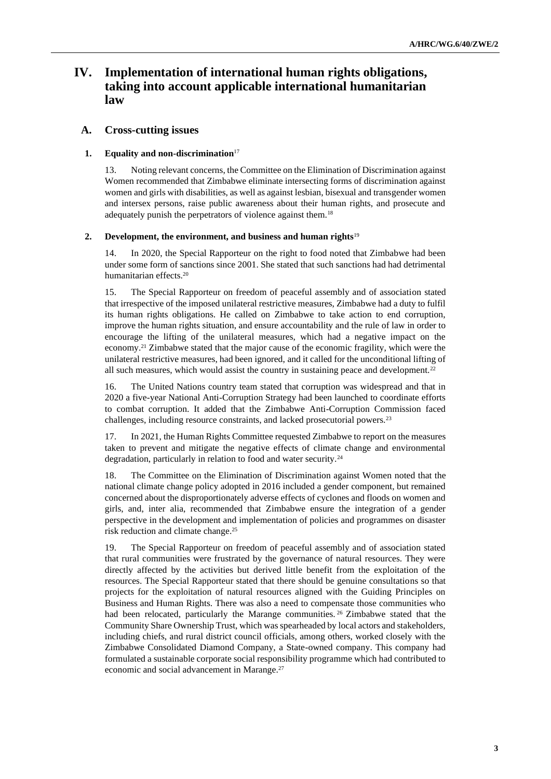# **IV. Implementation of international human rights obligations, taking into account applicable international humanitarian law**

# **A. Cross-cutting issues**

# **1. Equality and non-discrimination**<sup>17</sup>

13. Noting relevant concerns, the Committee on the Elimination of Discrimination against Women recommended that Zimbabwe eliminate intersecting forms of discrimination against women and girls with disabilities, as well as against lesbian, bisexual and transgender women and intersex persons, raise public awareness about their human rights, and prosecute and adequately punish the perpetrators of violence against them.<sup>18</sup>

## **2. Development, the environment, and business and human rights**<sup>19</sup>

14. In 2020, the Special Rapporteur on the right to food noted that Zimbabwe had been under some form of sanctions since 2001. She stated that such sanctions had had detrimental humanitarian effects.<sup>20</sup>

15. The Special Rapporteur on freedom of peaceful assembly and of association stated that irrespective of the imposed unilateral restrictive measures, Zimbabwe had a duty to fulfil its human rights obligations. He called on Zimbabwe to take action to end corruption, improve the human rights situation, and ensure accountability and the rule of law in order to encourage the lifting of the unilateral measures, which had a negative impact on the economy.<sup>21</sup> Zimbabwe stated that the major cause of the economic fragility, which were the unilateral restrictive measures, had been ignored, and it called for the unconditional lifting of all such measures, which would assist the country in sustaining peace and development.<sup>22</sup>

16. The United Nations country team stated that corruption was widespread and that in 2020 a five-year National Anti-Corruption Strategy had been launched to coordinate efforts to combat corruption. It added that the Zimbabwe Anti-Corruption Commission faced challenges, including resource constraints, and lacked prosecutorial powers.<sup>23</sup>

17. In 2021, the Human Rights Committee requested Zimbabwe to report on the measures taken to prevent and mitigate the negative effects of climate change and environmental degradation, particularly in relation to food and water security.<sup>24</sup>

18. The Committee on the Elimination of Discrimination against Women noted that the national climate change policy adopted in 2016 included a gender component, but remained concerned about the disproportionately adverse effects of cyclones and floods on women and girls, and, inter alia, recommended that Zimbabwe ensure the integration of a gender perspective in the development and implementation of policies and programmes on disaster risk reduction and climate change.<sup>25</sup>

19. The Special Rapporteur on freedom of peaceful assembly and of association stated that rural communities were frustrated by the governance of natural resources. They were directly affected by the activities but derived little benefit from the exploitation of the resources. The Special Rapporteur stated that there should be genuine consultations so that projects for the exploitation of natural resources aligned with the Guiding Principles on Business and Human Rights. There was also a need to compensate those communities who had been relocated, particularly the Marange communities.<sup>26</sup> Zimbabwe stated that the Community Share Ownership Trust, which was spearheaded by local actors and stakeholders, including chiefs, and rural district council officials, among others, worked closely with the Zimbabwe Consolidated Diamond Company, a State-owned company. This company had formulated a sustainable corporate social responsibility programme which had contributed to economic and social advancement in Marange.<sup>27</sup>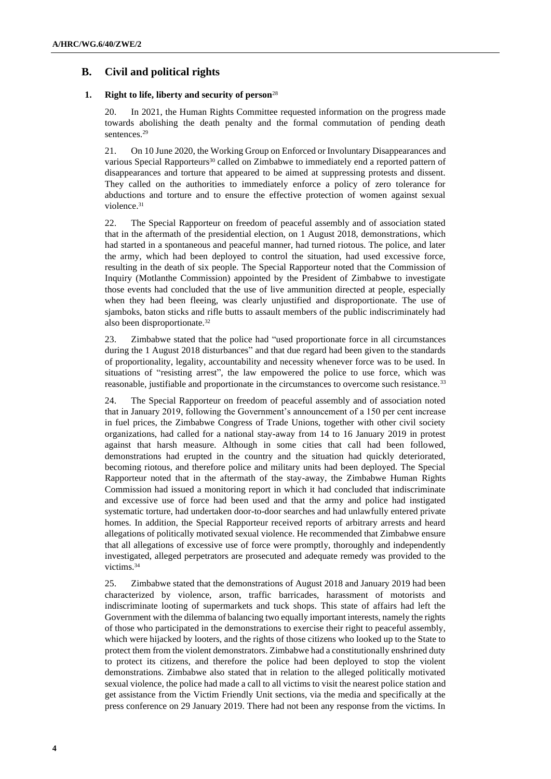# **B. Civil and political rights**

# **1. Right to life, liberty and security of person**<sup>28</sup>

20. In 2021, the Human Rights Committee requested information on the progress made towards abolishing the death penalty and the formal commutation of pending death sentences.<sup>29</sup>

21. On 10 June 2020, the Working Group on Enforced or Involuntary Disappearances and various Special Rapporteurs<sup>30</sup> called on Zimbabwe to immediately end a reported pattern of disappearances and torture that appeared to be aimed at suppressing protests and dissent. They called on the authorities to immediately enforce a policy of zero tolerance for abductions and torture and to ensure the effective protection of women against sexual violence.<sup>31</sup>

22. The Special Rapporteur on freedom of peaceful assembly and of association stated that in the aftermath of the presidential election, on 1 August 2018, demonstrations, which had started in a spontaneous and peaceful manner, had turned riotous. The police, and later the army, which had been deployed to control the situation, had used excessive force, resulting in the death of six people. The Special Rapporteur noted that the Commission of Inquiry (Motlanthe Commission) appointed by the President of Zimbabwe to investigate those events had concluded that the use of live ammunition directed at people, especially when they had been fleeing, was clearly unjustified and disproportionate. The use of sjamboks, baton sticks and rifle butts to assault members of the public indiscriminately had also been disproportionate.<sup>32</sup>

23. Zimbabwe stated that the police had "used proportionate force in all circumstances during the 1 August 2018 disturbances" and that due regard had been given to the standards of proportionality, legality, accountability and necessity whenever force was to be used. In situations of "resisting arrest", the law empowered the police to use force, which was reasonable, justifiable and proportionate in the circumstances to overcome such resistance.<sup>33</sup>

24. The Special Rapporteur on freedom of peaceful assembly and of association noted that in January 2019, following the Government's announcement of a 150 per cent increase in fuel prices, the Zimbabwe Congress of Trade Unions, together with other civil society organizations, had called for a national stay-away from 14 to 16 January 2019 in protest against that harsh measure. Although in some cities that call had been followed, demonstrations had erupted in the country and the situation had quickly deteriorated, becoming riotous, and therefore police and military units had been deployed. The Special Rapporteur noted that in the aftermath of the stay-away, the Zimbabwe Human Rights Commission had issued a monitoring report in which it had concluded that indiscriminate and excessive use of force had been used and that the army and police had instigated systematic torture, had undertaken door-to-door searches and had unlawfully entered private homes. In addition, the Special Rapporteur received reports of arbitrary arrests and heard allegations of politically motivated sexual violence. He recommended that Zimbabwe ensure that all allegations of excessive use of force were promptly, thoroughly and independently investigated, alleged perpetrators are prosecuted and adequate remedy was provided to the victims.<sup>34</sup>

25. Zimbabwe stated that the demonstrations of August 2018 and January 2019 had been characterized by violence, arson, traffic barricades, harassment of motorists and indiscriminate looting of supermarkets and tuck shops. This state of affairs had left the Government with the dilemma of balancing two equally important interests, namely the rights of those who participated in the demonstrations to exercise their right to peaceful assembly, which were hijacked by looters, and the rights of those citizens who looked up to the State to protect them from the violent demonstrators. Zimbabwe had a constitutionally enshrined duty to protect its citizens, and therefore the police had been deployed to stop the violent demonstrations. Zimbabwe also stated that in relation to the alleged politically motivated sexual violence, the police had made a call to all victims to visit the nearest police station and get assistance from the Victim Friendly Unit sections, via the media and specifically at the press conference on 29 January 2019. There had not been any response from the victims. In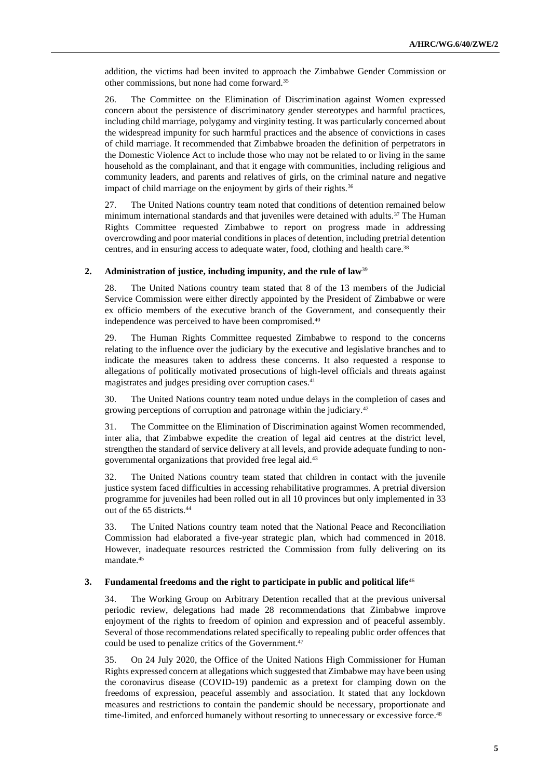addition, the victims had been invited to approach the Zimbabwe Gender Commission or other commissions, but none had come forward.<sup>35</sup>

26. The Committee on the Elimination of Discrimination against Women expressed concern about the persistence of discriminatory gender stereotypes and harmful practices, including child marriage, polygamy and virginity testing. It was particularly concerned about the widespread impunity for such harmful practices and the absence of convictions in cases of child marriage. It recommended that Zimbabwe broaden the definition of perpetrators in the Domestic Violence Act to include those who may not be related to or living in the same household as the complainant, and that it engage with communities, including religious and community leaders, and parents and relatives of girls, on the criminal nature and negative impact of child marriage on the enjoyment by girls of their rights.<sup>36</sup>

27. The United Nations country team noted that conditions of detention remained below minimum international standards and that juveniles were detained with adults.<sup>37</sup> The Human Rights Committee requested Zimbabwe to report on progress made in addressing overcrowding and poor material conditions in places of detention, including pretrial detention centres, and in ensuring access to adequate water, food, clothing and health care.<sup>38</sup>

## **2. Administration of justice, including impunity, and the rule of law**<sup>39</sup>

28. The United Nations country team stated that 8 of the 13 members of the Judicial Service Commission were either directly appointed by the President of Zimbabwe or were ex officio members of the executive branch of the Government, and consequently their independence was perceived to have been compromised.<sup>40</sup>

29. The Human Rights Committee requested Zimbabwe to respond to the concerns relating to the influence over the judiciary by the executive and legislative branches and to indicate the measures taken to address these concerns. It also requested a response to allegations of politically motivated prosecutions of high-level officials and threats against magistrates and judges presiding over corruption cases.<sup>41</sup>

30. The United Nations country team noted undue delays in the completion of cases and growing perceptions of corruption and patronage within the judiciary.<sup>42</sup>

31. The Committee on the Elimination of Discrimination against Women recommended, inter alia, that Zimbabwe expedite the creation of legal aid centres at the district level, strengthen the standard of service delivery at all levels, and provide adequate funding to nongovernmental organizations that provided free legal aid.<sup>43</sup>

32. The United Nations country team stated that children in contact with the juvenile justice system faced difficulties in accessing rehabilitative programmes. A pretrial diversion programme for juveniles had been rolled out in all 10 provinces but only implemented in 33 out of the 65 districts.<sup>44</sup>

33. The United Nations country team noted that the National Peace and Reconciliation Commission had elaborated a five-year strategic plan, which had commenced in 2018. However, inadequate resources restricted the Commission from fully delivering on its mandate.<sup>45</sup>

## **3. Fundamental freedoms and the right to participate in public and political life**<sup>46</sup>

34. The Working Group on Arbitrary Detention recalled that at the previous universal periodic review, delegations had made 28 recommendations that Zimbabwe improve enjoyment of the rights to freedom of opinion and expression and of peaceful assembly. Several of those recommendations related specifically to repealing public order offences that could be used to penalize critics of the Government.<sup>47</sup>

35. On 24 July 2020, the Office of the United Nations High Commissioner for Human Rights expressed concern at allegations which suggested that Zimbabwe may have been using the coronavirus disease (COVID-19) pandemic as a pretext for clamping down on the freedoms of expression, peaceful assembly and association. It stated that any lockdown measures and restrictions to contain the pandemic should be necessary, proportionate and time-limited, and enforced humanely without resorting to unnecessary or excessive force.<sup>48</sup>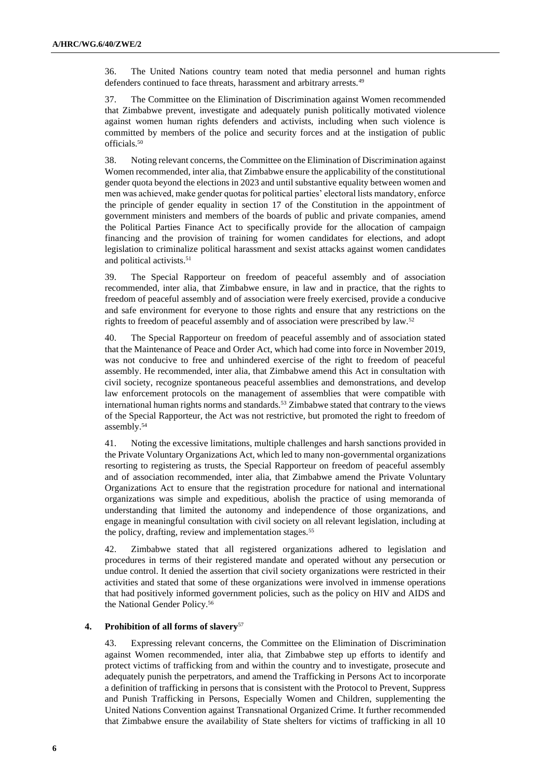36. The United Nations country team noted that media personnel and human rights defenders continued to face threats, harassment and arbitrary arrests.<sup>49</sup>

37. The Committee on the Elimination of Discrimination against Women recommended that Zimbabwe prevent, investigate and adequately punish politically motivated violence against women human rights defenders and activists, including when such violence is committed by members of the police and security forces and at the instigation of public officials.<sup>50</sup>

38. Noting relevant concerns, the Committee on the Elimination of Discrimination against Women recommended, inter alia, that Zimbabwe ensure the applicability of the constitutional gender quota beyond the elections in 2023 and until substantive equality between women and men was achieved, make gender quotas for political parties' electoral lists mandatory, enforce the principle of gender equality in section 17 of the Constitution in the appointment of government ministers and members of the boards of public and private companies, amend the Political Parties Finance Act to specifically provide for the allocation of campaign financing and the provision of training for women candidates for elections, and adopt legislation to criminalize political harassment and sexist attacks against women candidates and political activists.<sup>51</sup>

39. The Special Rapporteur on freedom of peaceful assembly and of association recommended, inter alia, that Zimbabwe ensure, in law and in practice, that the rights to freedom of peaceful assembly and of association were freely exercised, provide a conducive and safe environment for everyone to those rights and ensure that any restrictions on the rights to freedom of peaceful assembly and of association were prescribed by law.<sup>52</sup>

40. The Special Rapporteur on freedom of peaceful assembly and of association stated that the Maintenance of Peace and Order Act, which had come into force in November 2019, was not conducive to free and unhindered exercise of the right to freedom of peaceful assembly. He recommended, inter alia, that Zimbabwe amend this Act in consultation with civil society, recognize spontaneous peaceful assemblies and demonstrations, and develop law enforcement protocols on the management of assemblies that were compatible with international human rights norms and standards.<sup>53</sup> Zimbabwe stated that contrary to the views of the Special Rapporteur, the Act was not restrictive, but promoted the right to freedom of assembly.<sup>54</sup>

41. Noting the excessive limitations, multiple challenges and harsh sanctions provided in the Private Voluntary Organizations Act, which led to many non-governmental organizations resorting to registering as trusts, the Special Rapporteur on freedom of peaceful assembly and of association recommended, inter alia, that Zimbabwe amend the Private Voluntary Organizations Act to ensure that the registration procedure for national and international organizations was simple and expeditious, abolish the practice of using memoranda of understanding that limited the autonomy and independence of those organizations, and engage in meaningful consultation with civil society on all relevant legislation, including at the policy, drafting, review and implementation stages.<sup>55</sup>

42. Zimbabwe stated that all registered organizations adhered to legislation and procedures in terms of their registered mandate and operated without any persecution or undue control. It denied the assertion that civil society organizations were restricted in their activities and stated that some of these organizations were involved in immense operations that had positively informed government policies, such as the policy on HIV and AIDS and the National Gender Policy.<sup>56</sup>

## **4. Prohibition of all forms of slavery**<sup>57</sup>

43. Expressing relevant concerns, the Committee on the Elimination of Discrimination against Women recommended, inter alia, that Zimbabwe step up efforts to identify and protect victims of trafficking from and within the country and to investigate, prosecute and adequately punish the perpetrators, and amend the Trafficking in Persons Act to incorporate a definition of trafficking in persons that is consistent with the Protocol to Prevent, Suppress and Punish Trafficking in Persons, Especially Women and Children, supplementing the United Nations Convention against Transnational Organized Crime. It further recommended that Zimbabwe ensure the availability of State shelters for victims of trafficking in all 10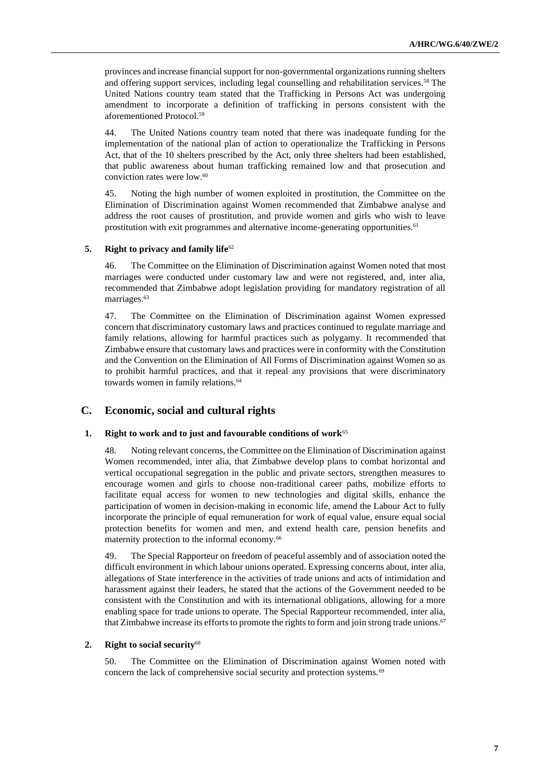provinces and increase financial support for non-governmental organizations running shelters and offering support services, including legal counselling and rehabilitation services.<sup>58</sup> The United Nations country team stated that the Trafficking in Persons Act was undergoing amendment to incorporate a definition of trafficking in persons consistent with the aforementioned Protocol. 59

44. The United Nations country team noted that there was inadequate funding for the implementation of the national plan of action to operationalize the Trafficking in Persons Act, that of the 10 shelters prescribed by the Act, only three shelters had been established, that public awareness about human trafficking remained low and that prosecution and conviction rates were low.<sup>60</sup>

45. Noting the high number of women exploited in prostitution, the Committee on the Elimination of Discrimination against Women recommended that Zimbabwe analyse and address the root causes of prostitution, and provide women and girls who wish to leave prostitution with exit programmes and alternative income-generating opportunities.<sup>61</sup>

#### **5. Right to privacy and family life**<sup>62</sup>

46. The Committee on the Elimination of Discrimination against Women noted that most marriages were conducted under customary law and were not registered, and, inter alia, recommended that Zimbabwe adopt legislation providing for mandatory registration of all marriages.<sup>63</sup>

47. The Committee on the Elimination of Discrimination against Women expressed concern that discriminatory customary laws and practices continued to regulate marriage and family relations, allowing for harmful practices such as polygamy. It recommended that Zimbabwe ensure that customary laws and practices were in conformity with the Constitution and the Convention on the Elimination of All Forms of Discrimination against Women so as to prohibit harmful practices, and that it repeal any provisions that were discriminatory towards women in family relations.<sup>64</sup>

# **C. Economic, social and cultural rights**

# **1. Right to work and to just and favourable conditions of work**<sup>65</sup>

48. Noting relevant concerns, the Committee on the Elimination of Discrimination against Women recommended, inter alia, that Zimbabwe develop plans to combat horizontal and vertical occupational segregation in the public and private sectors, strengthen measures to encourage women and girls to choose non-traditional career paths, mobilize efforts to facilitate equal access for women to new technologies and digital skills, enhance the participation of women in decision-making in economic life, amend the Labour Act to fully incorporate the principle of equal remuneration for work of equal value, ensure equal social protection benefits for women and men, and extend health care, pension benefits and maternity protection to the informal economy.<sup>66</sup>

49. The Special Rapporteur on freedom of peaceful assembly and of association noted the difficult environment in which labour unions operated. Expressing concerns about, inter alia, allegations of State interference in the activities of trade unions and acts of intimidation and harassment against their leaders, he stated that the actions of the Government needed to be consistent with the Constitution and with its international obligations, allowing for a more enabling space for trade unions to operate. The Special Rapporteur recommended, inter alia, that Zimbabwe increase its efforts to promote the rights to form and join strong trade unions.<sup>67</sup>

#### **2. Right to social security**<sup>68</sup>

50. The Committee on the Elimination of Discrimination against Women noted with concern the lack of comprehensive social security and protection systems.<sup>69</sup>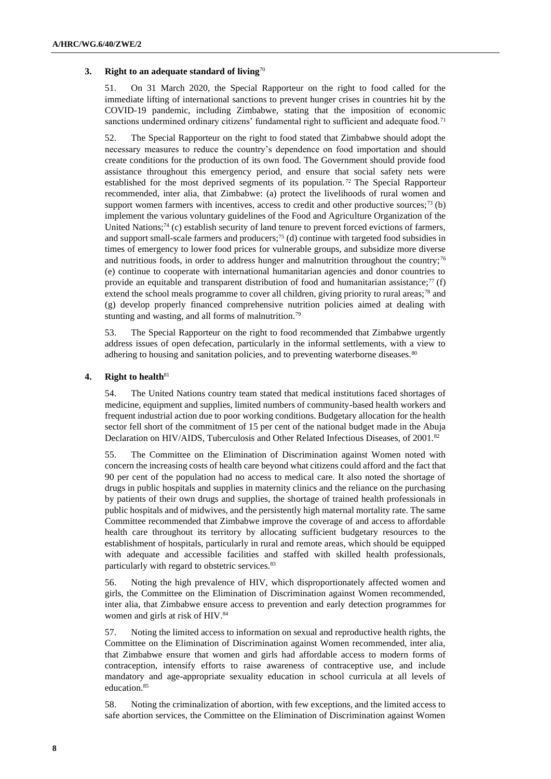## **3. Right to an adequate standard of living**<sup>70</sup>

51. On 31 March 2020, the Special Rapporteur on the right to food called for the immediate lifting of international sanctions to prevent hunger crises in countries hit by the COVID-19 pandemic, including Zimbabwe, stating that the imposition of economic sanctions undermined ordinary citizens' fundamental right to sufficient and adequate food.<sup>71</sup>

52. The Special Rapporteur on the right to food stated that Zimbabwe should adopt the necessary measures to reduce the country's dependence on food importation and should create conditions for the production of its own food. The Government should provide food assistance throughout this emergency period, and ensure that social safety nets were established for the most deprived segments of its population.<sup>72</sup> The Special Rapporteur recommended, inter alia, that Zimbabwe: (a) protect the livelihoods of rural women and support women farmers with incentives, access to credit and other productive sources;<sup>73</sup> (b) implement the various voluntary guidelines of the Food and Agriculture Organization of the United Nations;<sup>74</sup> (c) establish security of land tenure to prevent forced evictions of farmers, and support small-scale farmers and producers;<sup>75</sup> (d) continue with targeted food subsidies in times of emergency to lower food prices for vulnerable groups, and subsidize more diverse and nutritious foods, in order to address hunger and malnutrition throughout the country;<sup>76</sup> (e) continue to cooperate with international humanitarian agencies and donor countries to provide an equitable and transparent distribution of food and humanitarian assistance;<sup>77</sup> (f) extend the school meals programme to cover all children, giving priority to rural areas;<sup>78</sup> and (g) develop properly financed comprehensive nutrition policies aimed at dealing with stunting and wasting, and all forms of malnutrition.<sup>79</sup>

53. The Special Rapporteur on the right to food recommended that Zimbabwe urgently address issues of open defecation, particularly in the informal settlements, with a view to adhering to housing and sanitation policies, and to preventing waterborne diseases.<sup>80</sup>

#### **4. Right to health**<sup>81</sup>

54. The United Nations country team stated that medical institutions faced shortages of medicine, equipment and supplies, limited numbers of community-based health workers and frequent industrial action due to poor working conditions. Budgetary allocation for the health sector fell short of the commitment of 15 per cent of the national budget made in the Abuja Declaration on HIV/AIDS, Tuberculosis and Other Related Infectious Diseases, of 2001.<sup>82</sup>

55. The Committee on the Elimination of Discrimination against Women noted with concern the increasing costs of health care beyond what citizens could afford and the fact that 90 per cent of the population had no access to medical care. It also noted the shortage of drugs in public hospitals and supplies in maternity clinics and the reliance on the purchasing by patients of their own drugs and supplies, the shortage of trained health professionals in public hospitals and of midwives, and the persistently high maternal mortality rate. The same Committee recommended that Zimbabwe improve the coverage of and access to affordable health care throughout its territory by allocating sufficient budgetary resources to the establishment of hospitals, particularly in rural and remote areas, which should be equipped with adequate and accessible facilities and staffed with skilled health professionals, particularly with regard to obstetric services.<sup>83</sup>

56. Noting the high prevalence of HIV, which disproportionately affected women and girls, the Committee on the Elimination of Discrimination against Women recommended, inter alia, that Zimbabwe ensure access to prevention and early detection programmes for women and girls at risk of HIV.<sup>84</sup>

57. Noting the limited access to information on sexual and reproductive health rights, the Committee on the Elimination of Discrimination against Women recommended, inter alia, that Zimbabwe ensure that women and girls had affordable access to modern forms of contraception, intensify efforts to raise awareness of contraceptive use, and include mandatory and age-appropriate sexuality education in school curricula at all levels of education.<sup>85</sup>

58. Noting the criminalization of abortion, with few exceptions, and the limited access to safe abortion services, the Committee on the Elimination of Discrimination against Women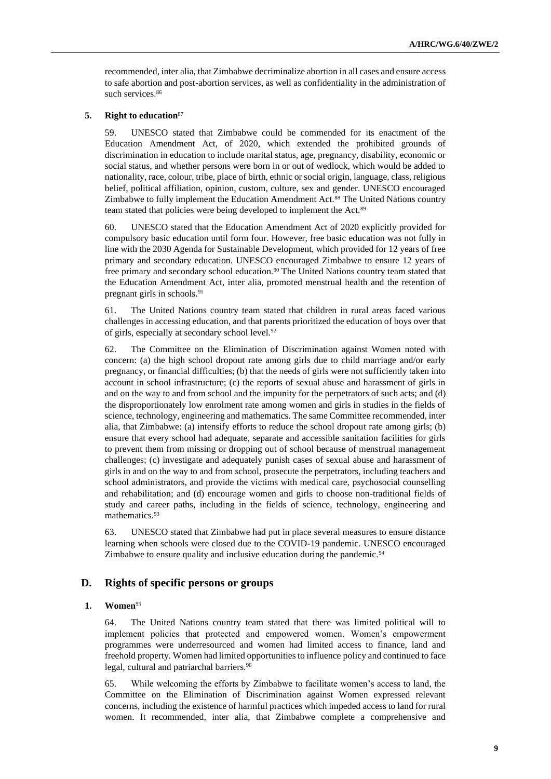recommended, inter alia, that Zimbabwe decriminalize abortion in all cases and ensure access to safe abortion and post-abortion services, as well as confidentiality in the administration of such services.<sup>86</sup>

# **5. Right to education**<sup>87</sup>

59. UNESCO stated that Zimbabwe could be commended for its enactment of the Education Amendment Act, of 2020, which extended the prohibited grounds of discrimination in education to include marital status, age, pregnancy, disability, economic or social status, and whether persons were born in or out of wedlock, which would be added to nationality, race, colour, tribe, place of birth, ethnic or social origin, language, class, religious belief, political affiliation, opinion, custom, culture, sex and gender. UNESCO encouraged Zimbabwe to fully implement the Education Amendment Act.<sup>88</sup> The United Nations country team stated that policies were being developed to implement the Act.<sup>89</sup>

60. UNESCO stated that the Education Amendment Act of 2020 explicitly provided for compulsory basic education until form four. However, free basic education was not fully in line with the 2030 Agenda for Sustainable Development, which provided for 12 years of free primary and secondary education. UNESCO encouraged Zimbabwe to ensure 12 years of free primary and secondary school education.<sup>90</sup> The United Nations country team stated that the Education Amendment Act, inter alia, promoted menstrual health and the retention of pregnant girls in schools.<sup>91</sup>

61. The United Nations country team stated that children in rural areas faced various challenges in accessing education, and that parents prioritized the education of boys over that of girls, especially at secondary school level.<sup>92</sup>

62. The Committee on the Elimination of Discrimination against Women noted with concern: (a) the high school dropout rate among girls due to child marriage and/or early pregnancy, or financial difficulties; (b) that the needs of girls were not sufficiently taken into account in school infrastructure; (c) the reports of sexual abuse and harassment of girls in and on the way to and from school and the impunity for the perpetrators of such acts; and (d) the disproportionately low enrolment rate among women and girls in studies in the fields of science, technology, engineering and mathematics. The same Committee recommended, inter alia, that Zimbabwe: (a) intensify efforts to reduce the school dropout rate among girls; (b) ensure that every school had adequate, separate and accessible sanitation facilities for girls to prevent them from missing or dropping out of school because of menstrual management challenges; (c) investigate and adequately punish cases of sexual abuse and harassment of girls in and on the way to and from school, prosecute the perpetrators, including teachers and school administrators, and provide the victims with medical care, psychosocial counselling and rehabilitation; and (d) encourage women and girls to choose non-traditional fields of study and career paths, including in the fields of science, technology, engineering and mathematics.<sup>93</sup>

63. UNESCO stated that Zimbabwe had put in place several measures to ensure distance learning when schools were closed due to the COVID-19 pandemic. UNESCO encouraged Zimbabwe to ensure quality and inclusive education during the pandemic.<sup>94</sup>

# **D. Rights of specific persons or groups**

## **1. Women**<sup>95</sup>

64. The United Nations country team stated that there was limited political will to implement policies that protected and empowered women. Women's empowerment programmes were underresourced and women had limited access to finance, land and freehold property. Women had limited opportunities to influence policy and continued to face legal, cultural and patriarchal barriers.<sup>96</sup>

65. While welcoming the efforts by Zimbabwe to facilitate women's access to land, the Committee on the Elimination of Discrimination against Women expressed relevant concerns, including the existence of harmful practices which impeded access to land for rural women. It recommended, inter alia, that Zimbabwe complete a comprehensive and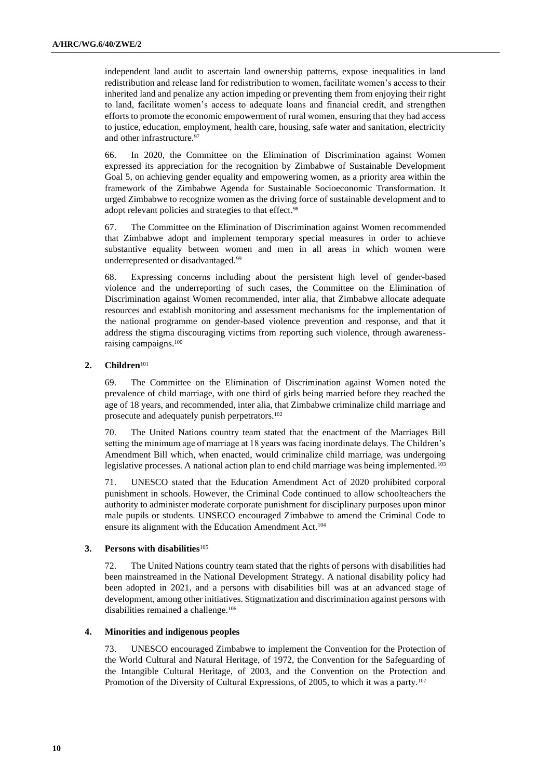independent land audit to ascertain land ownership patterns, expose inequalities in land redistribution and release land for redistribution to women, facilitate women's access to their inherited land and penalize any action impeding or preventing them from enjoying their right to land, facilitate women's access to adequate loans and financial credit, and strengthen efforts to promote the economic empowerment of rural women, ensuring that they had access to justice, education, employment, health care, housing, safe water and sanitation, electricity and other infrastructure.<sup>97</sup>

66. In 2020, the Committee on the Elimination of Discrimination against Women expressed its appreciation for the recognition by Zimbabwe of Sustainable Development Goal 5, on achieving gender equality and empowering women, as a priority area within the framework of the Zimbabwe Agenda for Sustainable Socioeconomic Transformation. It urged Zimbabwe to recognize women as the driving force of sustainable development and to adopt relevant policies and strategies to that effect.<sup>98</sup>

67. The Committee on the Elimination of Discrimination against Women recommended that Zimbabwe adopt and implement temporary special measures in order to achieve substantive equality between women and men in all areas in which women were underrepresented or disadvantaged.<sup>99</sup>

68. Expressing concerns including about the persistent high level of gender-based violence and the underreporting of such cases, the Committee on the Elimination of Discrimination against Women recommended, inter alia, that Zimbabwe allocate adequate resources and establish monitoring and assessment mechanisms for the implementation of the national programme on gender-based violence prevention and response, and that it address the stigma discouraging victims from reporting such violence, through awarenessraising campaigns.<sup>100</sup>

# 2. **Children**<sup>101</sup>

69. The Committee on the Elimination of Discrimination against Women noted the prevalence of child marriage, with one third of girls being married before they reached the age of 18 years, and recommended, inter alia, that Zimbabwe criminalize child marriage and prosecute and adequately punish perpetrators.<sup>102</sup>

70. The United Nations country team stated that the enactment of the Marriages Bill setting the minimum age of marriage at 18 years was facing inordinate delays. The Children's Amendment Bill which, when enacted, would criminalize child marriage, was undergoing legislative processes. A national action plan to end child marriage was being implemented.<sup>103</sup>

71. UNESCO stated that the Education Amendment Act of 2020 prohibited corporal punishment in schools. However, the Criminal Code continued to allow schoolteachers the authority to administer moderate corporate punishment for disciplinary purposes upon minor male pupils or students. UNSECO encouraged Zimbabwe to amend the Criminal Code to ensure its alignment with the Education Amendment Act.<sup>104</sup>

## **3. Persons with disabilities**<sup>105</sup>

72. The United Nations country team stated that the rights of persons with disabilities had been mainstreamed in the National Development Strategy. A national disability policy had been adopted in 2021, and a persons with disabilities bill was at an advanced stage of development, among other initiatives. Stigmatization and discrimination against persons with disabilities remained a challenge.<sup>106</sup>

## **4. Minorities and indigenous peoples**

73. UNESCO encouraged Zimbabwe to implement the Convention for the Protection of the World Cultural and Natural Heritage, of 1972, the Convention for the Safeguarding of the Intangible Cultural Heritage, of 2003, and the Convention on the Protection and Promotion of the Diversity of Cultural Expressions, of 2005, to which it was a party.<sup>107</sup>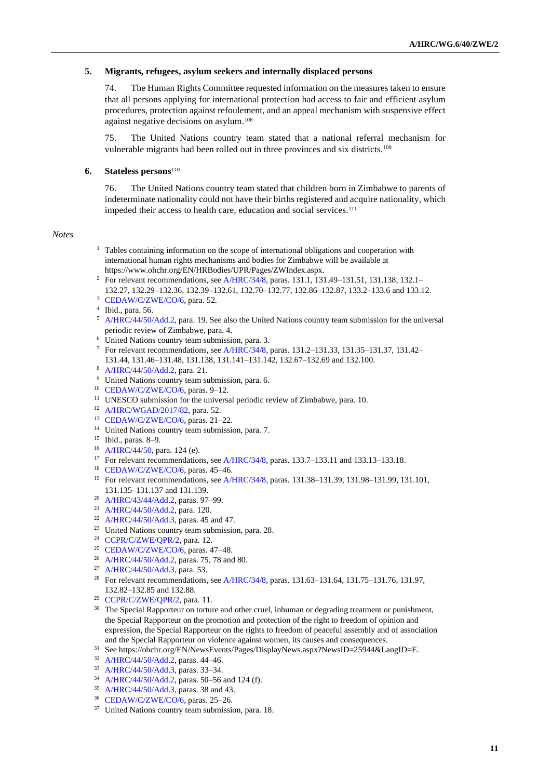## **5. Migrants, refugees, asylum seekers and internally displaced persons**

74. The Human Rights Committee requested information on the measures taken to ensure that all persons applying for international protection had access to fair and efficient asylum procedures, protection against refoulement, and an appeal mechanism with suspensive effect against negative decisions on asylum.<sup>108</sup>

75. The United Nations country team stated that a national referral mechanism for vulnerable migrants had been rolled out in three provinces and six districts.<sup>109</sup>

# **6. Stateless persons**<sup>110</sup>

76. The United Nations country team stated that children born in Zimbabwe to parents of indeterminate nationality could not have their births registered and acquire nationality, which impeded their access to health care, education and social services.<sup>111</sup>

## *Notes*

- <sup>1</sup> Tables containing information on the scope of international obligations and cooperation with international human rights mechanisms and bodies for Zimbabwe will be available at https://www.ohchr.org/EN/HRBodies/UPR/Pages/ZWIndex.aspx.
- <sup>2</sup> For relevant recommendations, se[e A/HRC/34/8,](http://undocs.org/en/A/HRC/34/8) paras. 131.1, 131.49–131.51, 131.138, 132.1–
- 132.27, 132.29–132.36, 132.39–132.61, 132.70–132.77, 132.86–132.87, 133.2–133.6 and 133.12.
- <sup>3</sup> [CEDAW/C/ZWE/CO/6,](http://undocs.org/en/CEDAW/C/ZWE/CO/6) para. 52.
- 4 Ibid., para. 56.
- <sup>5</sup> [A/HRC/44/50/Add.2,](http://undocs.org/en/A/HRC/44/50/Add.2) para. 19. See also the United Nations country team submission for the universal periodic review of Zimbabwe, para. 4.
- <sup>6</sup> United Nations country team submission, para. 3.
- <sup>7</sup> For relevant recommendations, se[e A/HRC/34/8,](http://undocs.org/en/A/HRC/34/8) paras. 131.2–131.33, 131.35–131.37, 131.42– 131.44, 131.46–131.48, 131.138, 131.141–131.142, 132.67–132.69 and 132.100.
- <sup>8</sup> [A/HRC/44/50/Add.2,](http://undocs.org/en/A/HRC/44/50/Add.2) para. 21.
- <sup>9</sup> United Nations country team submission, para. 6.
- <sup>10</sup> [CEDAW/C/ZWE/CO/6,](http://undocs.org/en/CEDAW/C/ZWE/CO/6) paras. 9–12.
- <sup>11</sup> UNESCO submission for the universal periodic review of Zimbabwe, para. 10.
- <sup>12</sup> [A/HRC/WGAD/2017/82,](http://undocs.org/en/A/HRC/WGAD/2017/82) para. 52.
- <sup>13</sup> [CEDAW/C/ZWE/CO/6,](http://undocs.org/en/CEDAW/C/ZWE/CO/6) paras. 21–22.
- <sup>14</sup> United Nations country team submission, para. 7.
- <sup>15</sup> Ibid., paras. 8–9.
- <sup>16</sup> [A/HRC/44/50,](http://undocs.org/en/A/HRC/44/50) para. 124 (e).
- <sup>17</sup> For relevant recommendations, se[e A/HRC/34/8,](http://undocs.org/en/A/HRC/34/8) paras. 133.7–133.11 and 133.13–133.18.
- <sup>18</sup> [CEDAW/C/ZWE/CO/6,](http://undocs.org/en/CEDAW/C/ZWE/CO/6) paras. 45–46.
- <sup>19</sup> For relevant recommendations, se[e A/HRC/34/8,](http://undocs.org/en/A/HRC/34/8) paras. 131.38–131.39, 131.98–131.99, 131.101, 131.135–131.137 and 131.139.
- <sup>20</sup> [A/HRC/43/44/Add.2,](http://undocs.org/en/A/HRC/43/44/Add.2) paras. 97–99.
- <sup>21</sup> [A/HRC/44/50/Add.2,](http://undocs.org/en/A/HRC/44/50/Add.2) para. 120.
- <sup>22</sup> [A/HRC/44/50/Add.3,](http://undocs.org/en/A/HRC/44/50/Add.3) paras. 45 and 47.
- <sup>23</sup> United Nations country team submission, para. 28.
- <sup>24</sup> [CCPR/C/ZWE/QPR/2,](http://undocs.org/en/CCPR/C/ZWE/QPR/2) para. 12.
- <sup>25</sup> [CEDAW/C/ZWE/CO/6,](http://undocs.org/en/CEDAW/C/ZWE/CO/6) paras. 47–48.
- <sup>26</sup> [A/HRC/44/50/Add.2,](http://undocs.org/en/A/HRC/44/50/Add.2) paras. 75, 78 and 80.
- <sup>27</sup> [A/HRC/44/50/Add.3,](http://undocs.org/en/A/HRC/44/50/Add.3) para. 53.
- <sup>28</sup> For relevant recommendations, se[e A/HRC/34/8,](http://undocs.org/en/A/HRC/34/8) paras. 131.63-131.64, 131.75-131.76, 131.97, 132.82–132.85 and 132.88.
- <sup>29</sup> [CCPR/C/ZWE/QPR/2,](http://undocs.org/en/CCPR/C/ZWE/QPR/2) para. 11.
- <sup>30</sup> The Special Rapporteur on torture and other cruel, inhuman or degrading treatment or punishment, the Special Rapporteur on the promotion and protection of the right to freedom of opinion and expression, the Special Rapporteur on the rights to freedom of peaceful assembly and of association and the Special Rapporteur on violence against women, its causes and consequences.
- <sup>31</sup> See https://ohchr.org/EN/NewsEvents/Pages/DisplayNews.aspx?NewsID=25944&LangID=E.
- <sup>32</sup> [A/HRC/44/50/Add.2,](http://undocs.org/en/A/HRC/44/50/Add.2) paras. 44–46.
- <sup>33</sup> [A/HRC/44/50/Add.3,](http://undocs.org/en/A/HRC/44/50/Add.3) paras. 33–34.
- <sup>34</sup> [A/HRC/44/50/Add.2,](http://undocs.org/en/A/HRC/44/50/Add.2) paras. 50–56 and 124 (f).
- <sup>35</sup> [A/HRC/44/50/Add.3,](http://undocs.org/en/A/HRC/44/50/Add.3) paras. 38 and 43.
- <sup>36</sup> [CEDAW/C/ZWE/CO/6,](http://undocs.org/en/CEDAW/C/ZWE/CO/6) paras. 25–26.
- <sup>37</sup> United Nations country team submission, para. 18.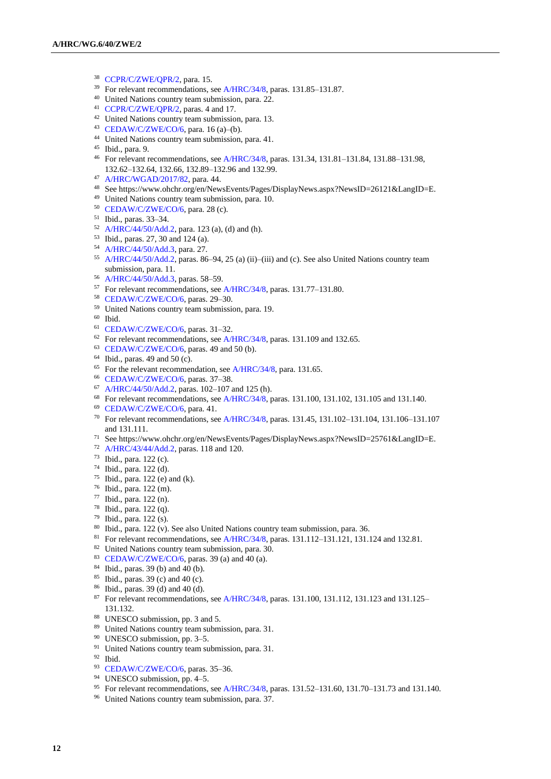- [CCPR/C/ZWE/QPR/2,](http://undocs.org/en/CCPR/C/ZWE/QPR/2) para. 15.
- For relevant recommendations, se[e A/HRC/34/8,](http://undocs.org/en/A/HRC/34/8) paras. 131.85–131.87.
- United Nations country team submission, para. 22.
- <sup>41</sup> [CCPR/C/ZWE/QPR/2,](http://undocs.org/en/CCPR/C/ZWE/QPR/2) paras. 4 and 17.
- United Nations country team submission, para. 13.
- [CEDAW/C/ZWE/CO/6,](http://undocs.org/en/CEDAW/C/ZWE/CO/6) para. 16 (a)–(b).
- United Nations country team submission, para. 41.
- Ibid., para. 9.
- For relevant recommendations, se[e A/HRC/34/8,](http://undocs.org/en/A/HRC/34/8) paras. 131.34, 131.81–131.84, 131.88–131.98, 132.62–132.64, 132.66, 132.89–132.96 and 132.99.
- [A/HRC/WGAD/2017/82,](http://undocs.org/en/A/HRC/WGAD/2017/82) para. 44.
- See https://www.ohchr.org/en/NewsEvents/Pages/DisplayNews.aspx?NewsID=26121&LangID=E.
- United Nations country team submission, para. 10.
- [CEDAW/C/ZWE/CO/6,](http://undocs.org/en/CEDAW/C/ZWE/CO/6) para. 28 (c).
- Ibid., paras. 33–34.
- [A/HRC/44/50/Add.2,](http://undocs.org/en/A/HRC/44/50/Add.2) para. 123 (a), (d) and (h).
- Ibid., paras. 27, 30 and 124 (a).
- [A/HRC/44/50/Add.3,](http://undocs.org/en/A/HRC/44/50/Add.3) para. 27.
- [A/HRC/44/50/Add.2,](http://undocs.org/en/A/HRC/44/50/Add.2) paras. 86–94, 25 (a) (ii)–(iii) and (c). See also United Nations country team submission, para. 11.
- [A/HRC/44/50/Add.3,](http://undocs.org/en/A/HRC/44/50/Add.3) paras. 58–59.
- For relevant recommendations, se[e A/HRC/34/8,](http://undocs.org/en/A/HRC/34/8) paras. 131.77–131.80.
- [CEDAW/C/ZWE/CO/6,](http://undocs.org/en/CEDAW/C/ZWE/CO/6) paras. 29–30.
- United Nations country team submission, para. 19.
- Ibid.
- [CEDAW/C/ZWE/CO/6,](http://undocs.org/en/CEDAW/C/ZWE/CO/6) paras. 31–32.
- <sup>62</sup> For relevant recommendations, se[e A/HRC/34/8,](http://undocs.org/en/A/HRC/34/8) paras. 131.109 and 132.65.
- [CEDAW/C/ZWE/CO/6,](http://undocs.org/en/CEDAW/C/ZWE/CO/6) paras. 49 and 50 (b).
- Ibid., paras. 49 and 50 (c).
- For the relevant recommendation, see [A/HRC/34/8,](http://undocs.org/en/A/HRC/34/8) para. 131.65.
- [CEDAW/C/ZWE/CO/6,](http://undocs.org/en/CEDAW/C/ZWE/CO/6) paras. 37–38.
- [A/HRC/44/50/Add.2,](http://undocs.org/en/A/HRC/44/50/Add.2) paras. 102–107 and 125 (h).
- For relevant recommendations, se[e A/HRC/34/8,](http://undocs.org/en/A/HRC/34/8) paras. 131.100, 131.102, 131.105 and 131.140.
- [CEDAW/C/ZWE/CO/6,](http://undocs.org/en/CEDAW/C/ZWE/CO/6) para. 41.
- For relevant recommendations, se[e A/HRC/34/8,](http://undocs.org/en/A/HRC/34/8) paras. 131.45, 131.102–131.104, 131.106–131.107 and 131.111.
- See https://www.ohchr.org/en/NewsEvents/Pages/DisplayNews.aspx?NewsID=25761&LangID=E.
- [A/HRC/43/44/Add.2,](http://undocs.org/en/A/HRC/43/44/Add.2) paras. 118 and 120.
- Ibid., para. 122 (c).
- Ibid., para. 122 (d).
- Ibid., para. 122 (e) and (k).
- Ibid., para. 122 (m).
- Ibid., para. 122 (n).
- Ibid., para. 122 (q).
- Ibid., para. 122 (s).
- Ibid., para. 122 (v). See also United Nations country team submission, para. 36.
- <sup>81</sup> For relevant recommendations, se[e A/HRC/34/8,](http://undocs.org/en/A/HRC/34/8) paras. 131.112-131.121, 131.124 and 132.81.
- United Nations country team submission, para. 30.
- [CEDAW/C/ZWE/CO/6,](http://undocs.org/en/CEDAW/C/ZWE/CO/6) paras. 39 (a) and 40 (a).
- Ibid., paras. 39 (b) and 40 (b).
- Ibid., paras. 39 (c) and 40 (c).
- Ibid., paras. 39 (d) and 40 (d).
- <sup>87</sup> For relevant recommendations, se[e A/HRC/34/8,](http://undocs.org/en/A/HRC/34/8) paras. 131.100, 131.112, 131.123 and 131.125– 131.132.
- UNESCO submission, pp. 3 and 5.
- United Nations country team submission, para. 31.
- UNESCO submission, pp. 3–5.
- <sup>91</sup> United Nations country team submission, para. 31.
- Ibid.
- [CEDAW/C/ZWE/CO/6,](http://undocs.org/en/CEDAW/C/ZWE/CO/6) paras. 35–36.
- UNESCO submission, pp. 4–5.
- For relevant recommendations, se[e A/HRC/34/8,](http://undocs.org/en/A/HRC/34/8) paras. 131.52–131.60, 131.70–131.73 and 131.140.
- United Nations country team submission, para. 37.